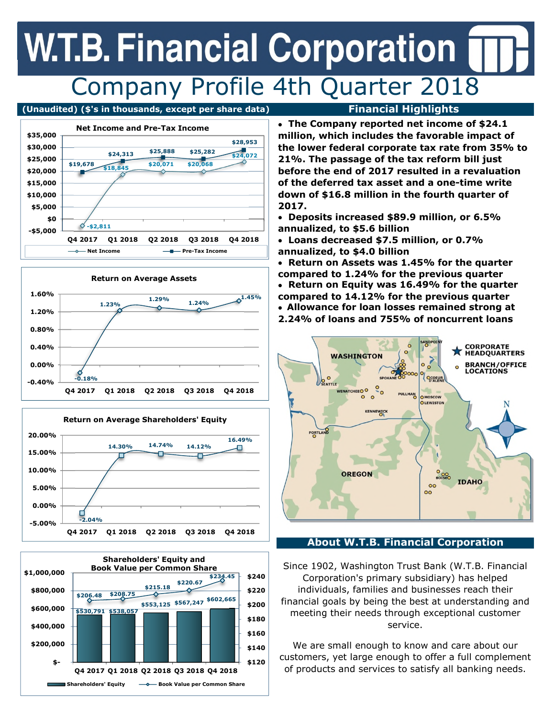## **W.T.B. Financial Corporation** Company Profile 4th Quarter 2018

### **(Unaudited) (\$'s in thousands, except per share data) Financial Highlights**









• **The Company reported net income of \$24.1 million, which includes the favorable impact of the lower federal corporate tax rate from 35% to 21%. The passage of the tax reform bill just before the end of 2017 resulted in a revaluation of the deferred tax asset and a one-time write down of \$16.8 million in the fourth quarter of 2017.**

• **Deposits increased \$89.9 million, or 6.5% annualized, to \$5.6 billion**

• **Loans decreased \$7.5 million, or 0.7% annualized, to \$4.0 billion**

• **Allowance for loan losses remained strong at 2.24% of loans and 755% of noncurrent loans** • **Return on Assets was 1.45% for the quarter compared to 1.24% for the previous quarter** • **Return on Equity was 16.49% for the quarter compared to 14.12% for the previous quarter**



### **About W.T.B. Financial Corporation**

Since 1902, Washington Trust Bank (W.T.B. Financial Corporation's primary subsidiary) has helped individuals, families and businesses reach their financial goals by being the best at understanding and meeting their needs through exceptional customer service.

We are small enough to know and care about our customers, yet large enough to offer a full complement of products and services to satisfy all banking needs.